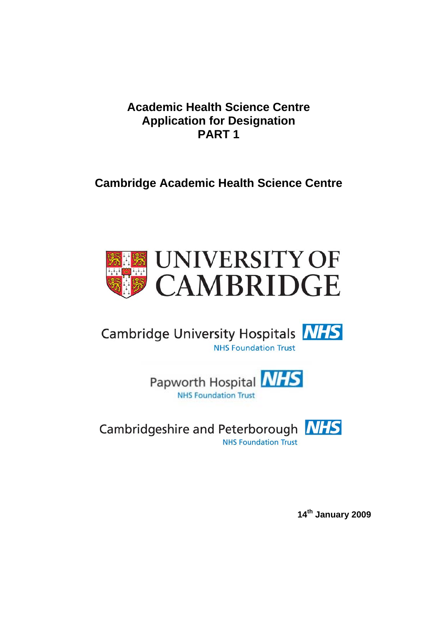## **Academic Health Science Centre Application for Designation PART 1**

## **Cambridge Academic Health Science Centre**



# Cambridge University Hospitals **NHS NHS Foundation Trust**

Papworth Hospital **NHS NHS Foundation Trust** 

Cambridgeshire and Peterborough **NHS NHS Foundation Trust** 

**14th January 2009**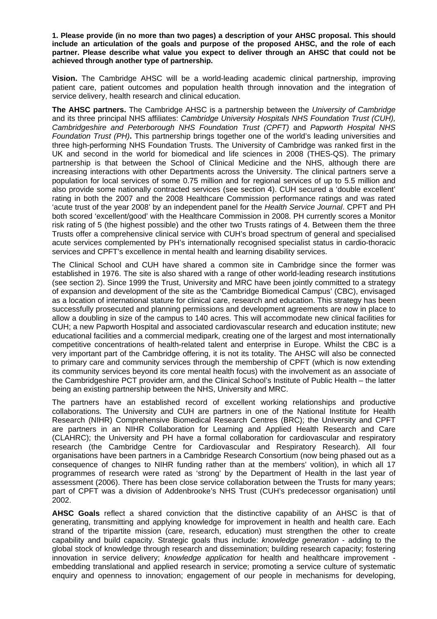**1. Please provide (in no more than two pages) a description of your AHSC proposal. This should include an articulation of the goals and purpose of the proposed AHSC, and the role of each partner. Please describe what value you expect to deliver through an AHSC that could not be achieved through another type of partnership.** 

**Vision.** The Cambridge AHSC will be a world-leading academic clinical partnership, improving patient care, patient outcomes and population health through innovation and the integration of service delivery, health research and clinical education.

**The AHSC partners.** The Cambridge AHSC is a partnership between the *University of Cambridge* and its three principal NHS affiliates: *Cambridge University Hospitals NHS Foundation Trust (CUH), Cambridgeshire and Peterborough NHS Foundation Trust (CPFT)* and *Papworth Hospital NHS Foundation Trust (PH)***.** This partnership brings together one of the world's leading universities and three high-performing NHS Foundation Trusts. The University of Cambridge was ranked first in the UK and second in the world for biomedical and life sciences in 2008 (THES-QS). The primary partnership is that between the School of Clinical Medicine and the NHS, although there are increasing interactions with other Departments across the University. The clinical partners serve a population for local services of some 0.75 million and for regional services of up to 5.5 million and also provide some nationally contracted services (see section 4). CUH secured a 'double excellent' rating in both the 2007 and the 2008 Healthcare Commission performance ratings and was rated 'acute trust of the year 2008' by an independent panel for the *Health Service Journal*. CPFT and PH both scored 'excellent/good' with the Healthcare Commission in 2008. PH currently scores a Monitor risk rating of 5 (the highest possible) and the other two Trusts ratings of 4. Between them the three Trusts offer a comprehensive clinical service with CUH's broad spectrum of general and specialised acute services complemented by PH's internationally recognised specialist status in cardio-thoracic services and CPFT's excellence in mental health and learning disability services.

The Clinical School and CUH have shared a common site in Cambridge since the former was established in 1976. The site is also shared with a range of other world-leading research institutions (see section 2). Since 1999 the Trust, University and MRC have been jointly committed to a strategy of expansion and development of the site as the 'Cambridge Biomedical Campus' (CBC), envisaged as a location of international stature for clinical care, research and education. This strategy has been successfully prosecuted and planning permissions and development agreements are now in place to allow a doubling in size of the campus to 140 acres. This will accommodate new clinical facilities for CUH; a new Papworth Hospital and associated cardiovascular research and education institute; new educational facilities and a commercial medipark, creating one of the largest and most internationally competitive concentrations of health-related talent and enterprise in Europe. Whilst the CBC is a very important part of the Cambridge offering, it is not its totality. The AHSC will also be connected to primary care and community services through the membership of CPFT (which is now extending its community services beyond its core mental health focus) with the involvement as an associate of the Cambridgeshire PCT provider arm, and the Clinical School's Institute of Public Health – the latter being an existing partnership between the NHS, University and MRC.

The partners have an established record of excellent working relationships and productive collaborations. The University and CUH are partners in one of the National Institute for Health Research (NIHR) Comprehensive Biomedical Research Centres (BRC); the University and CPFT are partners in an NIHR Collaboration for Learning and Applied Health Research and Care (CLAHRC); the University and PH have a formal collaboration for cardiovascular and respiratory research (the Cambridge Centre for Cardiovascular and Respiratory Research). All four organisations have been partners in a Cambridge Research Consortium (now being phased out as a consequence of changes to NIHR funding rather than at the members' volition), in which all 17 programmes of research were rated as 'strong' by the Department of Health in the last year of assessment (2006). There has been close service collaboration between the Trusts for many years; part of CPFT was a division of Addenbrooke's NHS Trust (CUH's predecessor organisation) until 2002.

**AHSC Goals** reflect a shared conviction that the distinctive capability of an AHSC is that of generating, transmitting and applying knowledge for improvement in health and health care. Each strand of the tripartite mission (care, research, education) must strengthen the other to create capability and build capacity. Strategic goals thus include: *knowledge generation* - adding to the global stock of knowledge through research and dissemination; building research capacity; fostering innovation in service delivery; *knowledge application* for health and healthcare improvement embedding translational and applied research in service; promoting a service culture of systematic enquiry and openness to innovation; engagement of our people in mechanisms for developing,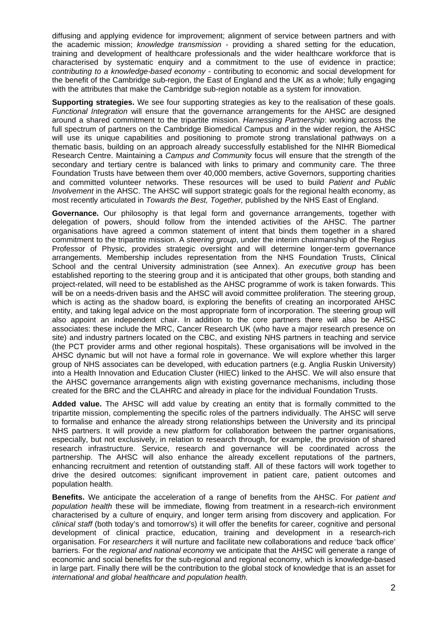diffusing and applying evidence for improvement; alignment of service between partners and with the academic mission; *knowledge transmission* - providing a shared setting for the education, training and development of healthcare professionals and the wider healthcare workforce that is characterised by systematic enquiry and a commitment to the use of evidence in practice; *contributing to a knowledge-based economy* - contributing to economic and social development for the benefit of the Cambridge sub-region, the East of England and the UK as a whole; fully engaging with the attributes that make the Cambridge sub-region notable as a system for innovation.

**Supporting strategies.** We see four supporting strategies as key to the realisation of these goals. *Functional Integration* will ensure that the governance arrangements for the AHSC are designed around a shared commitment to the tripartite mission. *Harnessing Partnership*: working across the full spectrum of partners on the Cambridge Biomedical Campus and in the wider region, the AHSC will use its unique capabilities and positioning to promote strong translational pathways on a thematic basis, building on an approach already successfully established for the NIHR Biomedical Research Centre. Maintaining a *Campus and Community* focus will ensure that the strength of the secondary and tertiary centre is balanced with links to primary and community care. The three Foundation Trusts have between them over 40,000 members, active Governors, supporting charities and committed volunteer networks. These resources will be used to build *Patient and Public Involvement* in the AHSC. The AHSC will support strategic goals for the regional health economy, as most recently articulated in *Towards the Best, Together,* published by the NHS East of England.

**Governance.** Our philosophy is that legal form and governance arrangements, together with delegation of powers, should follow from the intended activities of the AHSC. The partner organisations have agreed a common statement of intent that binds them together in a shared commitment to the tripartite mission. A *steering group*, under the interim chairmanship of the Regius Professor of Physic, provides strategic oversight and will determine longer-term governance arrangements. Membership includes representation from the NHS Foundation Trusts, Clinical School and the central University administration (see Annex). An *executive group* has been established reporting to the steering group and it is anticipated that other groups, both standing and project-related, will need to be established as the AHSC programme of work is taken forwards. This will be on a needs-driven basis and the AHSC will avoid committee proliferation. The steering group, which is acting as the shadow board, is exploring the benefits of creating an incorporated AHSC entity, and taking legal advice on the most appropriate form of incorporation. The steering group will also appoint an independent chair. In addition to the core partners there will also be AHSC associates: these include the MRC, Cancer Research UK (who have a major research presence on site) and industry partners located on the CBC, and existing NHS partners in teaching and service (the PCT provider arms and other regional hospitals). These organisations will be involved in the AHSC dynamic but will not have a formal role in governance. We will explore whether this larger group of NHS associates can be developed, with education partners (e.g. Anglia Ruskin University) into a Health Innovation and Education Cluster (HIEC) linked to the AHSC. We will also ensure that the AHSC governance arrangements align with existing governance mechanisms, including those created for the BRC and the CLAHRC and already in place for the individual Foundation Trusts.

**Added value.** The AHSC will add value by creating an entity that is formally committed to the tripartite mission, complementing the specific roles of the partners individually. The AHSC will serve to formalise and enhance the already strong relationships between the University and its principal NHS partners. It will provide a new platform for collaboration between the partner organisations, especially, but not exclusively, in relation to research through, for example, the provision of shared research infrastructure. Service, research and governance will be coordinated across the partnership. The AHSC will also enhance the already excellent reputations of the partners, enhancing recruitment and retention of outstanding staff. All of these factors will work together to drive the desired outcomes: significant improvement in patient care, patient outcomes and population health.

**Benefits.** We anticipate the acceleration of a range of benefits from the AHSC. For *patient and population health* these will be immediate, flowing from treatment in a research-rich environment characterised by a culture of enquiry, and longer term arising from discovery and application. For *clinical staff* (both today's and tomorrow's) it will offer the benefits for career, cognitive and personal development of clinical practice, education, training and development in a research-rich organisation. For *researchers* it will nurture and facilitate new collaborations and reduce 'back office' barriers. For the *regional and national econom*y we anticipate that the AHSC will generate a range of economic and social benefits for the sub-regional and regional economy, which is knowledge-based in large part. Finally there will be the contribution to the global stock of knowledge that is an asset for *international and global healthcare and population health.*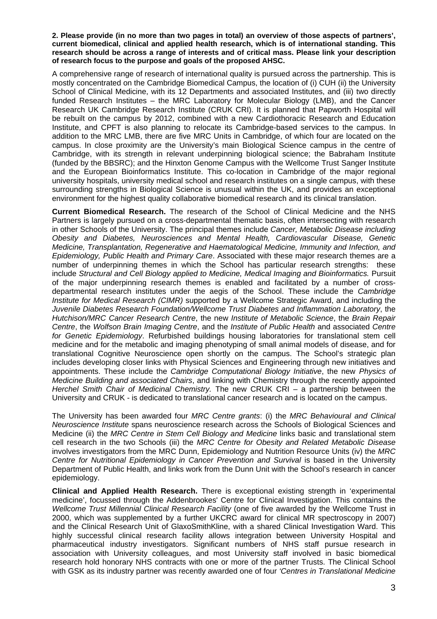**2. Please provide (in no more than two pages in total) an overview of those aspects of partners', current biomedical, clinical and applied health research, which is of international standing. This research should be across a range of interests and of critical mass. Please link your description of research focus to the purpose and goals of the proposed AHSC.** 

A comprehensive range of research of international quality is pursued across the partnership. This is mostly concentrated on the Cambridge Biomedical Campus, the location of (i) CUH (ii) the University School of Clinical Medicine, with its 12 Departments and associated Institutes, and (iii) two directly funded Research Institutes – the MRC Laboratory for Molecular Biology (LMB), and the Cancer Research UK Cambridge Research Institute (CRUK CRI). It is planned that Papworth Hospital will be rebuilt on the campus by 2012, combined with a new Cardiothoracic Research and Education Institute, and CPFT is also planning to relocate its Cambridge-based services to the campus. In addition to the MRC LMB, there are five MRC Units in Cambridge, of which four are located on the campus. In close proximity are the University's main Biological Science campus in the centre of Cambridge, with its strength in relevant underpinning biological science; the Babraham Institute (funded by the BBSRC); and the Hinxton Genome Campus with the Wellcome Trust Sanger Institute and the European Bioinformatics Institute. This co-location in Cambridge of the major regional university hospitals, university medical school and research institutes on a single campus, with these surrounding strengths in Biological Science is unusual within the UK, and provides an exceptional environment for the highest quality collaborative biomedical research and its clinical translation.

**Current Biomedical Research.** The research of the School of Clinical Medicine and the NHS Partners is largely pursued on a cross-departmental thematic basis, often intersecting with research in other Schools of the University. The principal themes include *Cancer, Metabolic Disease including Obesity and Diabetes, Neurosciences and Mental Health, Cardiovascular Disease, Genetic Medicine, Transplantation, Regenerative and Haematological Medicine, Immunity and Infection, and Epidemiology, Public Health and Primary Care*. Associated with these major research themes are a number of underpinning themes in which the School has particular research strengths: these include *Structural and Cell Biology applied to Medicine, Medical Imaging and Bioinformatics.* Pursuit of the major underpinning research themes is enabled and facilitated by a number of crossdepartmental research institutes under the aegis of the School. These include the *Cambridge Institute for Medical Research (CIMR)* supported by a Wellcome Strategic Award, and including the *Juvenile Diabetes Research Foundation/Wellcome Trust Diabetes and Inflammation Laboratory*, the *Hutchison/MRC Cancer Research Centre*, the new *Institute of Metabolic Science*, the *Brain Repair Centre*, the *Wolfson Brain Imaging Centre*, and the *Institute of Public Health* and associated *Centre for Genetic Epidemiology*. Refurbished buildings housing laboratories for translational stem cell medicine and for the metabolic and imaging phenotyping of small animal models of disease, and for translational Cognitive Neuroscience open shortly on the campus. The School's strategic plan includes developing closer links with Physical Sciences and Engineering through new initiatives and appointments. These include the *Cambridge Computational Biology Initiative*, the new *Physics of Medicine Building and associated Chairs*, and linking with Chemistry through the recently appointed *Herchel Smith Chair of Medicinal Chemistry.* The new CRUK CRI – a partnership between the University and CRUK - is dedicated to translational cancer research and is located on the campus.

The University has been awarded four *MRC Centre grants*: (i) the *MRC Behavioural and Clinical Neuroscience Institute* spans neuroscience research across the Schools of Biological Sciences and Medicine (ii) the *MRC Centre in Stem Cell Biology and Medicine* links basic and translational stem cell research in the two Schools (iii) the *MRC Centre for Obesity and Related Metabolic Disease*  involves investigators from the MRC Dunn, Epidemiology and Nutrition Resource Units (iv) the *MRC Centre for Nutritional Epidemiology in Cancer Prevention and Survival* is based in the University Department of Public Health, and links work from the Dunn Unit with the School's research in cancer epidemiology.

**Clinical and Applied Health Research.** There is exceptional existing strength in 'experimental medicine', focussed through the Addenbrookes' Centre for Clinical Investigation. This contains the *Wellcome Trust Millennial Clinical Research Facility* (one of five awarded by the Wellcome Trust in 2000, which was supplemented by a further UKCRC award for clinical MR spectroscopy in 2007) and the Clinical Research Unit of GlaxoSmithKline, with a shared Clinical Investigation Ward. This highly successful clinical research facility allows integration between University Hospital and pharmaceutical industry investigators. Significant numbers of NHS staff pursue research in association with University colleagues, and most University staff involved in basic biomedical research hold honorary NHS contracts with one or more of the partner Trusts. The Clinical School with GSK as its industry partner was recently awarded one of four *'Centres in Translational Medicine*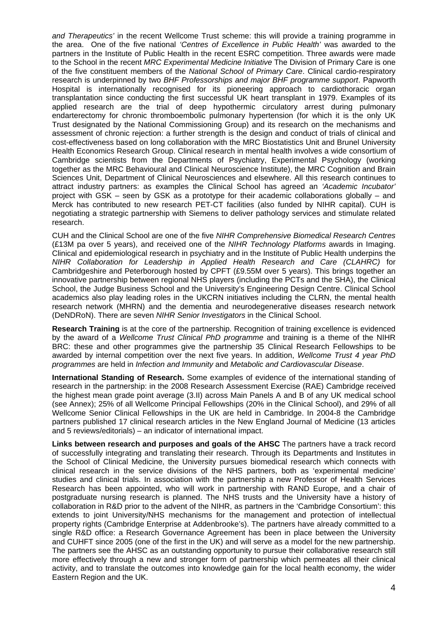*and Therapeutics'* in the recent Wellcome Trust scheme: this will provide a training programme in the area. One of the five national *'Centres of Excellence in Public Health'* was awarded to the partners in the Institute of Public Health in the recent ESRC competition. Three awards were made to the School in the recent *MRC Experimental Medicine Initiative* The Division of Primary Care is one of the five constituent members of the *National School of Primary Care*. Clinical cardio-respiratory research is underpinned by two *BHF Professorships and major BHF programme support*. Papworth Hospital is internationally recognised for its pioneering approach to cardiothoracic organ transplantation since conducting the first successful UK heart transplant in 1979. Examples of its applied research are the trial of deep hypothermic circulatory arrest during pulmonary endarterectomy for chronic thromboembolic pulmonary hypertension (for which it is the only UK Trust designated by the National Commissioning Group) and its research on the mechanisms and assessment of chronic rejection: a further strength is the design and conduct of trials of clinical and cost-effectiveness based on long collaboration with the MRC Biostatistics Unit and Brunel University Health Economics Research Group. Clinical research in mental health involves a wide consortium of Cambridge scientists from the Departments of Psychiatry, Experimental Psychology (working together as the MRC Behavioural and Clinical Neuroscience Institute), the MRC Cognition and Brain Sciences Unit, Department of Clinical Neurosciences and elsewhere. All this research continues to attract industry partners: as examples the Clinical School has agreed an *'Academic Incubator'* project with GSK – seen by GSK as a prototype for their academic collaborations globally – and Merck has contributed to new research PET-CT facilities (also funded by NIHR capital). CUH is negotiating a strategic partnership with Siemens to deliver pathology services and stimulate related research.

CUH and the Clinical School are one of the five *NIHR Comprehensive Biomedical Research Centres* (£13M pa over 5 years), and received one of the *NIHR Technology Platforms* awards in Imaging. Clinical and epidemiological research in psychiatry and in the Institute of Public Health underpins the *NIHR Collaboration for Leadership in Applied Health Research and Care (CLAHRC)* for Cambridgeshire and Peterborough hosted by CPFT (£9.55M over 5 years). This brings together an innovative partnership between regional NHS players (including the PCTs and the SHA), the Clinical School, the Judge Business School and the University's Engineering Design Centre. Clinical School academics also play leading roles in the UKCRN initiatives including the CLRN, the mental health research network (MHRN) and the dementia and neurodegenerative diseases research network (DeNDRoN). There are seven *NIHR Senior Investigators* in the Clinical School.

**Research Training** is at the core of the partnership. Recognition of training excellence is evidenced by the award of a *Wellcome Trust Clinical PhD programme* and training is a theme of the NIHR BRC: these and other programmes give the partnership 35 Clinical Research Fellowships to be awarded by internal competition over the next five years. In addition, *Wellcome Trust 4 year PhD programmes* are held in *Infection and Immunity* and *Metabolic and Cardiovascular Disease*.

**International Standing of Research.** Some examples of evidence of the international standing of research in the partnership: in the 2008 Research Assessment Exercise (RAE) Cambridge received the highest mean grade point average (3.II) across Main Panels A and B of any UK medical school (see Annex); 25% of all Wellcome Principal Fellowships (20% in the Clinical School), and 29% of all Wellcome Senior Clinical Fellowships in the UK are held in Cambridge. In 2004-8 the Cambridge partners published 17 clinical research articles in the New England Journal of Medicine (13 articles and 5 reviews/editorials) – an indicator of international impact.

**Links between research and purposes and goals of the AHSC** The partners have a track record of successfully integrating and translating their research. Through its Departments and Institutes in the School of Clinical Medicine, the University pursues biomedical research which connects with clinical research in the service divisions of the NHS partners, both as 'experimental medicine' studies and clinical trials. In association with the partnership a new Professor of Health Services Research has been appointed, who will work in partnership with RAND Europe, and a chair of postgraduate nursing research is planned. The NHS trusts and the University have a history of collaboration in R&D prior to the advent of the NIHR, as partners in the 'Cambridge Consortium': this extends to joint University/NHS mechanisms for the management and protection of intellectual property rights (Cambridge Enterprise at Addenbrooke's). The partners have already committed to a single R&D office: a Research Governance Agreement has been in place between the University and CUHFT since 2005 (one of the first in the UK) and will serve as a model for the new partnership. The partners see the AHSC as an outstanding opportunity to pursue their collaborative research still more effectively through a new and stronger form of partnership which permeates all their clinical activity, and to translate the outcomes into knowledge gain for the local health economy, the wider Eastern Region and the UK.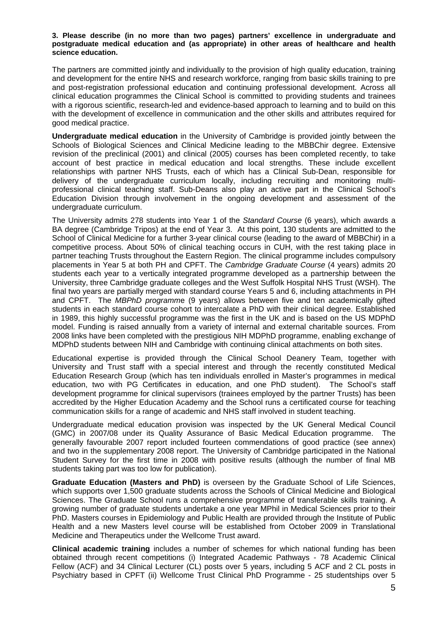#### **3. Please describe (in no more than two pages) partners' excellence in undergraduate and postgraduate medical education and (as appropriate) in other areas of healthcare and health science education.**

The partners are committed jointly and individually to the provision of high quality education, training and development for the entire NHS and research workforce, ranging from basic skills training to pre and post-registration professional education and continuing professional development. Across all clinical education programmes the Clinical School is committed to providing students and trainees with a rigorous scientific, research-led and evidence-based approach to learning and to build on this with the development of excellence in communication and the other skills and attributes required for good medical practice.

**Undergraduate medical education** in the University of Cambridge is provided jointly between the Schools of Biological Sciences and Clinical Medicine leading to the MBBChir degree. Extensive revision of the preclinical (2001) and clinical (2005) courses has been completed recently, to take account of best practice in medical education and local strengths. These include excellent relationships with partner NHS Trusts, each of which has a Clinical Sub-Dean, responsible for delivery of the undergraduate curriculum locally, including recruiting and monitoring multiprofessional clinical teaching staff. Sub-Deans also play an active part in the Clinical School's Education Division through involvement in the ongoing development and assessment of the undergraduate curriculum.

The University admits 278 students into Year 1 of the *Standard Course* (6 years), which awards a BA degree (Cambridge Tripos) at the end of Year 3. At this point, 130 students are admitted to the School of Clinical Medicine for a further 3-year clinical course (leading to the award of MBBChir) in a competitive process. About 50% of clinical teaching occurs in CUH, with the rest taking place in partner teaching Trusts throughout the Eastern Region. The clinical programme includes compulsory placements in Year 5 at both PH and CPFT. The *Cambridge Graduate Course* (4 years) admits 20 students each year to a vertically integrated programme developed as a partnership between the University, three Cambridge graduate colleges and the West Suffolk Hospital NHS Trust (WSH). The final two years are partially merged with standard course Years 5 and 6, including attachments in PH and CPFT. The *MBPhD programm*e (9 years) allows between five and ten academically gifted students in each standard course cohort to intercalate a PhD with their clinical degree. Established in 1989, this highly successful programme was the first in the UK and is based on the US MDPhD model. Funding is raised annually from a variety of internal and external charitable sources. From 2008 links have been completed with the prestigious NIH MDPhD programme, enabling exchange of MDPhD students between NIH and Cambridge with continuing clinical attachments on both sites.

Educational expertise is provided through the Clinical School Deanery Team, together with University and Trust staff with a special interest and through the recently constituted Medical Education Research Group (which has ten individuals enrolled in Master's programmes in medical education, two with PG Certificates in education, and one PhD student). The School's staff development programme for clinical supervisors (trainees employed by the partner Trusts) has been accredited by the Higher Education Academy and the School runs a certificated course for teaching communication skills for a range of academic and NHS staff involved in student teaching.

Undergraduate medical education provision was inspected by the UK General Medical Council (GMC) in 2007/08 under its Quality Assurance of Basic Medical Education programme. The generally favourable 2007 report included fourteen commendations of good practice (see annex) and two in the supplementary 2008 report. The University of Cambridge participated in the National Student Survey for the first time in 2008 with positive results (although the number of final MB students taking part was too low for publication).

**Graduate Education (Masters and PhD)** is overseen by the Graduate School of Life Sciences, which supports over 1,500 graduate students across the Schools of Clinical Medicine and Biological Sciences. The Graduate School runs a comprehensive programme of transferable skills training. A growing number of graduate students undertake a one year MPhil in Medical Sciences prior to their PhD. Masters courses in Epidemiology and Public Health are provided through the Institute of Public Health and a new Masters level course will be established from October 2009 in Translational Medicine and Therapeutics under the Wellcome Trust award.

**Clinical academic training** includes a number of schemes for which national funding has been obtained through recent competitions (i) Integrated Academic Pathways - 78 Academic Clinical Fellow (ACF) and 34 Clinical Lecturer (CL) posts over 5 years, including 5 ACF and 2 CL posts in Psychiatry based in CPFT (ii) Wellcome Trust Clinical PhD Programme - 25 studentships over 5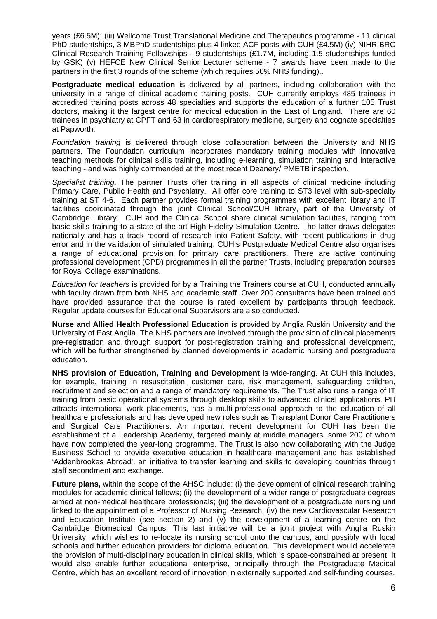years (£6.5M); (iii) Wellcome Trust Translational Medicine and Therapeutics programme - 11 clinical PhD studentships, 3 MBPhD studentships plus 4 linked ACF posts with CUH (£4.5M) (iv) NIHR BRC Clinical Research Training Fellowships - 9 studentships (£1.7M, including 1.5 studentships funded by GSK) (v) HEFCE New Clinical Senior Lecturer scheme - 7 awards have been made to the partners in the first 3 rounds of the scheme (which requires 50% NHS funding)..

**Postgraduate medical education** is delivered by all partners, including collaboration with the university in a range of clinical academic training posts. CUH currently employs 485 trainees in accredited training posts across 48 specialties and supports the education of a further 105 Trust doctors, making it the largest centre for medical education in the East of England. There are 60 trainees in psychiatry at CPFT and 63 in cardiorespiratory medicine, surgery and cognate specialties at Papworth.

*Foundation training* is delivered through close collaboration between the University and NHS partners. The Foundation curriculum incorporates mandatory training modules with innovative teaching methods for clinical skills training, including e-learning, simulation training and interactive teaching - and was highly commended at the most recent Deanery/ PMETB inspection.

*Specialist training.* The partner Trusts offer training in all aspects of clinical medicine including Primary Care, Public Health and Psychiatry. All offer core training to ST3 level with sub-specialty training at ST 4-6. Each partner provides formal training programmes with excellent library and IT facilities coordinated through the joint Clinical School/CUH library, part of the University of Cambridge Library. CUH and the Clinical School share clinical simulation facilities, ranging from basic skills training to a state-of-the-art High-Fidelity Simulation Centre. The latter draws delegates nationally and has a track record of research into Patient Safety, with recent publications in drug error and in the validation of simulated training. CUH's Postgraduate Medical Centre also organises a range of educational provision for primary care practitioners. There are active continuing professional development (CPD) programmes in all the partner Trusts, including preparation courses for Royal College examinations.

*Education for teachers* is provided for by a Training the Trainers course at CUH, conducted annually with faculty drawn from both NHS and academic staff. Over 200 consultants have been trained and have provided assurance that the course is rated excellent by participants through feedback. Regular update courses for Educational Supervisors are also conducted.

**Nurse and Allied Health Professional Education** is provided by Anglia Ruskin University and the University of East Anglia. The NHS partners are involved through the provision of clinical placements pre-registration and through support for post-registration training and professional development, which will be further strengthened by planned developments in academic nursing and postgraduate education.

**NHS provision of Education, Training and Development** is wide-ranging. At CUH this includes, for example, training in resuscitation, customer care, risk management, safeguarding children, recruitment and selection and a range of mandatory requirements. The Trust also runs a range of IT training from basic operational systems through desktop skills to advanced clinical applications. PH attracts international work placements, has a multi-professional approach to the education of all healthcare professionals and has developed new roles such as Transplant Donor Care Practitioners and Surgical Care Practitioners. An important recent development for CUH has been the establishment of a Leadership Academy, targeted mainly at middle managers, some 200 of whom have now completed the year-long programme. The Trust is also now collaborating with the Judge Business School to provide executive education in healthcare management and has established 'Addenbrookes Abroad', an initiative to transfer learning and skills to developing countries through staff secondment and exchange.

**Future plans,** within the scope of the AHSC include: (i) the development of clinical research training modules for academic clinical fellows; (ii) the development of a wider range of postgraduate degrees aimed at non-medical healthcare professionals; (iii) the development of a postgraduate nursing unit linked to the appointment of a Professor of Nursing Research; (iv) the new Cardiovascular Research and Education Institute (see section 2) and  $(v)$  the development of a learning centre on the Cambridge Biomedical Campus. This last initiative will be a joint project with Anglia Ruskin University, which wishes to re-locate its nursing school onto the campus, and possibly with local schools and further education providers for diploma education. This development would accelerate the provision of multi-disciplinary education in clinical skills, which is space-constrained at present. It would also enable further educational enterprise, principally through the Postgraduate Medical Centre, which has an excellent record of innovation in externally supported and self-funding courses.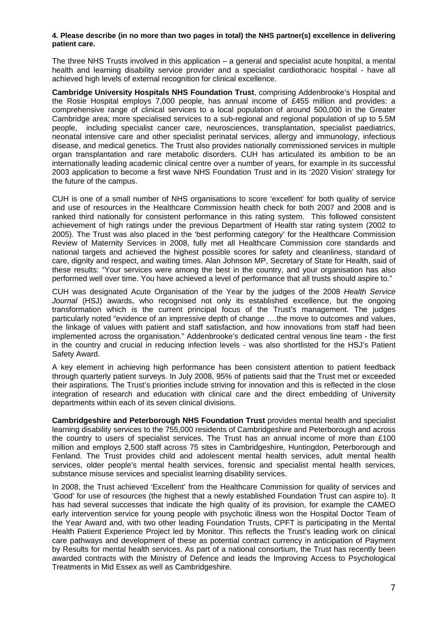#### **4. Please describe (in no more than two pages in total) the NHS partner(s) excellence in delivering patient care.**

The three NHS Trusts involved in this application – a general and specialist acute hospital, a mental health and learning disability service provider and a specialist cardiothoracic hospital - have all achieved high levels of external recognition for clinical excellence.

**Cambridge University Hospitals NHS Foundation Trust**, comprising Addenbrooke's Hospital and the Rosie Hospital employs 7,000 people, has annual income of £455 million and provides: a comprehensive range of clinical services to a local population of around 500,000 in the Greater Cambridge area; more specialised services to a sub-regional and regional population of up to 5.5M people, including specialist cancer care, neurosciences, transplantation, specialist paediatrics, neonatal intensive care and other specialist perinatal services, allergy and immunology, infectious disease, and medical genetics. The Trust also provides nationally commissioned services in multiple organ transplantation and rare metabolic disorders. CUH has articulated its ambition to be an internationally leading academic clinical centre over a number of years, for example in its successful 2003 application to become a first wave NHS Foundation Trust and in its '2020 Vision' strategy for the future of the campus.

CUH is one of a small number of NHS organisations to score 'excellent' for both quality of service and use of resources in the Healthcare Commission health check for both 2007 and 2008 and is ranked third nationally for consistent performance in this rating system. This followed consistent achievement of high ratings under the previous Department of Health star rating system (2002 to 2005). The Trust was also placed in the 'best performing category' for the Healthcare Commission Review of Maternity Services in 2008, fully met all Healthcare Commission core standards and national targets and achieved the highest possible scores for safety and cleanliness, standard of care, dignity and respect, and waiting times. Alan Johnson MP, Secretary of State for Health, said of these results: "Your services were among the best in the country, and your organisation has also performed well over time. You have achieved a level of performance that all trusts should aspire to."

CUH was designated Acute Organisation of the Year by the judges of the 2008 *Health Service Journal* (HSJ) awards, who recognised not only its established excellence, but the ongoing transformation which is the current principal focus of the Trust's management. The judges particularly noted "evidence of an impressive depth of change ….the move to outcomes and values, the linkage of values with patient and staff satisfaction, and how innovations from staff had been implemented across the organisation." Addenbrooke's dedicated central venous line team - the first in the country and crucial in reducing infection levels - was also shortlisted for the HSJ's Patient Safety Award.

A key element in achieving high performance has been consistent attention to patient feedback through quarterly patient surveys. In July 2008, 95% of patients said that the Trust met or exceeded their aspirations. The Trust's priorities include striving for innovation and this is reflected in the close integration of research and education with clinical care and the direct embedding of University departments within each of its seven clinical divisions.

**Cambridgeshire and Peterborough NHS Foundation Trust** provides mental health and specialist learning disability services to the 755,000 residents of Cambridgeshire and Peterborough and across the country to users of specialist services. The Trust has an annual income of more than £100 million and employs 2,500 staff across 75 sites in Cambridgeshire, Huntingdon, Peterborough and Fenland. The Trust provides child and adolescent mental health services, adult mental health services, older people's mental health services, forensic and specialist mental health services, substance misuse services and specialist learning disability services.

In 2008, the Trust achieved 'Excellent' from the Healthcare Commission for quality of services and 'Good' for use of resources (the highest that a newly established Foundation Trust can aspire to). It has had several successes that indicate the high quality of its provision, for example the CAMEO early intervention service for young people with psychotic illness won the Hospital Doctor Team of the Year Award and, with two other leading Foundation Trusts, CPFT is participating in the Mental Health Patient Experience Project led by Monitor. This reflects the Trust's leading work on clinical care pathways and development of these as potential contract currency in anticipation of Payment by Results for mental health services. As part of a national consortium, the Trust has recently been awarded contracts with the Ministry of Defence and leads the Improving Access to Psychological Treatments in Mid Essex as well as Cambridgeshire.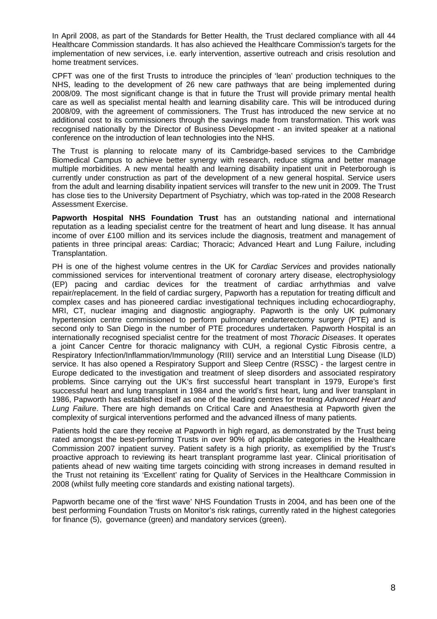In April 2008, as part of the Standards for Better Health, the Trust declared compliance with all 44 Healthcare Commission standards. It has also achieved the Healthcare Commission's targets for the implementation of new services, i.e. early intervention, assertive outreach and crisis resolution and home treatment services.

CPFT was one of the first Trusts to introduce the principles of 'lean' production techniques to the NHS, leading to the development of 26 new care pathways that are being implemented during 2008/09. The most significant change is that in future the Trust will provide primary mental health care as well as specialist mental health and learning disability care. This will be introduced during 2008/09, with the agreement of commissioners. The Trust has introduced the new service at no additional cost to its commissioners through the savings made from transformation. This work was recognised nationally by the Director of Business Development - an invited speaker at a national conference on the introduction of lean technologies into the NHS.

The Trust is planning to relocate many of its Cambridge-based services to the Cambridge Biomedical Campus to achieve better synergy with research, reduce stigma and better manage multiple morbidities. A new mental health and learning disability inpatient unit in Peterborough is currently under construction as part of the development of a new general hospital. Service users from the adult and learning disability inpatient services will transfer to the new unit in 2009. The Trust has close ties to the University Department of Psychiatry, which was top-rated in the 2008 Research Assessment Exercise.

**Papworth Hospital NHS Foundation Trust** has an outstanding national and international reputation as a leading specialist centre for the treatment of heart and lung disease. It has annual income of over £100 million and its services include the diagnosis, treatment and management of patients in three principal areas: Cardiac; Thoracic; Advanced Heart and Lung Failure, including Transplantation.

PH is one of the highest volume centres in the UK for *Cardiac Services* and provides nationally commissioned services for interventional treatment of coronary artery disease, electrophysiology (EP) pacing and cardiac devices for the treatment of cardiac arrhythmias and valve repair/replacement. In the field of cardiac surgery, Papworth has a reputation for treating difficult and complex cases and has pioneered cardiac investigational techniques including echocardiography, MRI, CT, nuclear imaging and diagnostic angiography. Papworth is the only UK pulmonary hypertension centre commissioned to perform pulmonary endarterectomy surgery (PTE) and is second only to San Diego in the number of PTE procedures undertaken*.* Papworth Hospital is an internationally recognised specialist centre for the treatment of most *Thoracic Diseases*. It operates a joint Cancer Centre for thoracic malignancy with CUH, a regional Cystic Fibrosis centre, a Respiratory Infection/Inflammation/Immunology (RIII) service and an Interstitial Lung Disease (ILD) service. It has also opened a Respiratory Support and Sleep Centre (RSSC) - the largest centre in Europe dedicated to the investigation and treatment of sleep disorders and associated respiratory problems. Since carrying out the UK's first successful heart transplant in 1979, Europe's first successful heart and lung transplant in 1984 and the world's first heart, lung and liver transplant in 1986, Papworth has established itself as one of the leading centres for treating *Advanced Heart and Lung Failure*. There are high demands on Critical Care and Anaesthesia at Papworth given the complexity of surgical interventions performed and the advanced illness of many patients.

Patients hold the care they receive at Papworth in high regard, as demonstrated by the Trust being rated amongst the best-performing Trusts in over 90% of applicable categories in the Healthcare Commission 2007 inpatient survey. Patient safety is a high priority, as exemplified by the Trust's proactive approach to reviewing its heart transplant programme last year. Clinical prioritisation of patients ahead of new waiting time targets coinciding with strong increases in demand resulted in the Trust not retaining its 'Excellent' rating for Quality of Services in the Healthcare Commission in 2008 (whilst fully meeting core standards and existing national targets).

Papworth became one of the 'first wave' NHS Foundation Trusts in 2004, and has been one of the best performing Foundation Trusts on Monitor's risk ratings, currently rated in the highest categories for finance (5), governance (green) and mandatory services (green).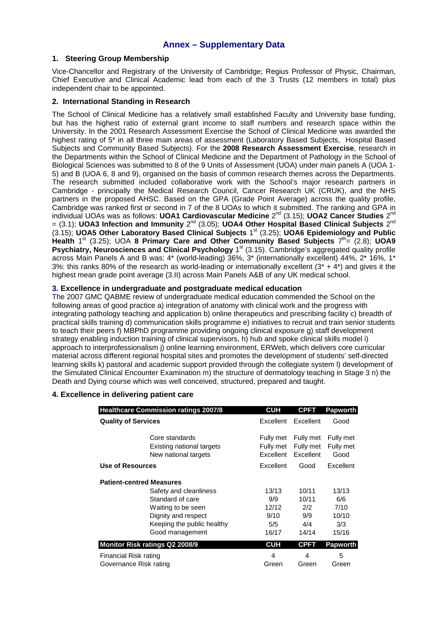### **Annex – Supplementary Data**

#### **1. Steering Group Membership**

Vice-Chancellor and Registrary of the University of Cambridge; Regius Professor of Physic, Chairman, Chief Executive and Clinical Academic lead from each of the 3 Trusts (12 members in total) plus independent chair to be appointed.

#### **2. International Standing in Research**

The School of Clinical Medicine has a relatively small established Faculty and University base funding, but has the highest ratio of external grant income to staff numbers and research space within the University. In the 2001 Research Assessment Exercise the School of Clinical Medicine was awarded the highest rating of 5\* in all three main areas of assessment (Laboratory Based Subjects, Hospital Based Subjects and Community Based Subjects). For the **2008 Research Assessment Exercise**, research in the Departments within the School of Clinical Medicine and the Department of Pathology in the School of Biological Sciences was submitted to 8 of the 9 Units of Assessment (UOA) under main panels A (UOA 1- 5) and B (UOA 6, 8 and 9), organised on the basis of common research themes across the Departments. The research submitted included collaborative work with the School's major research partners in Cambridge - principally the Medical Research Council, Cancer Research UK (CRUK), and the NHS partners in the proposed AHSC. Based on the GPA (Grade Point Average) across the quality profile, Cambridge was ranked first or second in 7 of the 8 UOAs to which it submitted. The ranking and GPA in individual UOAs was as follows: **UOA1 Cardiovascular Medicine** 2<sup>nd</sup> (3.15); **UOA2 Cancer Studies** 2<sup>nd</sup>  $= (3.1)$ ; **UOA3** Infection and Immunity  $2^{nd}$  (3.05); **UOA4 Other Hospital Based Clinical Subjects**  $2^{nd}$ (3.15); **UOA5 Other Laboratory Based Clinical Subjects** 1st (3.25); **UOA6 Epidemiology and Public Health** 1<sup>st</sup> (3.25); UOA **8 Primary Care and Other Community Based Subjects**  $7^{th}$  **(2.8); UOA9 Psychiatry, Neurosciences and Clinical Psychology** 1<sup>st</sup> (3.15). Cambridge's aggregated quality profile across Main Panels A and B was: 4\* (world-leading) 36%, 3\* (internationally excellent) 44%, 2\* 16%, 1\* 3%: this ranks 80% of the research as world-leading or internationally excellent  $(3^* + 4^*)$  and gives it the highest mean grade point average (3.II) across Main Panels A&B of any UK medical school.

#### **3. Excellence in undergraduate and postgraduate medical education**

The 2007 GMC QABME review of undergraduate medical education commended the School on the following areas of good practice a) integration of anatomy with clinical work and the progress with integrating pathology teaching and application b) online therapeutics and prescribing facility c) breadth of practical skills training d) communication skills programme e) initiatives to recruit and train senior students to teach their peers f) MBPhD programme providing ongoing clinical exposure g) staff development strategy enabling induction training of clinical supervisors, h) hub and spoke clinical skills model i) approach to interprofessionalism j) online learning environment, ERWeb, which delivers core curricular material across different regional hospital sites and promotes the development of students' self-directed learning skills k) pastoral and academic support provided through the collegiate system l) development of the Simulated Clinical Encounter Examination m) the structure of dermatology teaching in Stage 3 n) the Death and Dying course which was well conceived, structured, prepared and taught.

#### **4. Excellence in delivering patient care**

|                                 | <b>Healthcare Commission ratings 2007/8</b>                         | <b>CUH</b>                          | <b>CPFT</b>                         | <b>Papworth</b>                |
|---------------------------------|---------------------------------------------------------------------|-------------------------------------|-------------------------------------|--------------------------------|
| <b>Quality of Services</b>      |                                                                     | Excellent                           | Excellent                           | Good                           |
|                                 | Core standards<br>Existing national targets<br>New national targets | Fully met<br>Fully met<br>Excellent | Fully met<br>Fully met<br>Excellent | Fully met<br>Fully met<br>Good |
| Use of Resources                |                                                                     | Excellent                           | Good                                | Excellent                      |
| <b>Patient-centred Measures</b> |                                                                     |                                     |                                     |                                |
|                                 | Safety and cleanliness                                              | 13/13                               | 10/11                               | 13/13                          |
|                                 | Standard of care                                                    | 9/9                                 | 10/11                               | 6/6                            |
|                                 | Waiting to be seen                                                  | 12/12                               | 2/2                                 | 7/10                           |
|                                 | Dignity and respect                                                 | 9/10                                | 9/9                                 | 10/10                          |
|                                 | Keeping the public healthy                                          | 5/5                                 | 4/4                                 | 3/3                            |
|                                 | Good management                                                     | 16/17                               | 14/14                               | 15/16                          |
| Monitor Risk ratings Q2 2008/9  |                                                                     | <b>CUH</b>                          | <b>CPFT</b>                         | <b>Papworth</b>                |
| Financial Risk rating           |                                                                     | 4                                   | 4                                   | 5                              |
| Governance Risk rating          |                                                                     | Green                               | Green                               | Green                          |